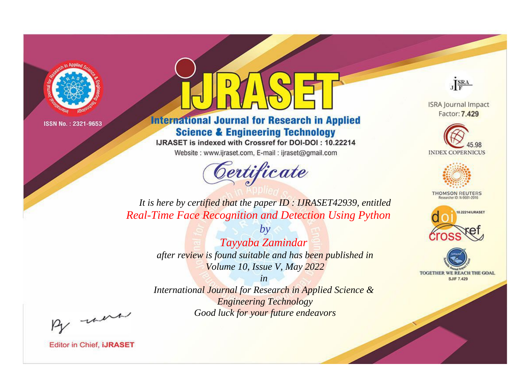

# **International Journal for Research in Applied Science & Engineering Technology**

IJRASET is indexed with Crossref for DOI-DOI: 10.22214

Website: www.ijraset.com, E-mail: ijraset@gmail.com



JERA

**ISRA Journal Impact** Factor: 7.429





**THOMSON REUTERS** 



TOGETHER WE REACH THE GOAL **SJIF 7.429** 

*It is here by certified that the paper ID : IJRASET42939, entitled Real-Time Face Recognition and Detection Using Python*

> *by Tayyaba Zamindar after review is found suitable and has been published in Volume 10, Issue V, May 2022*

> > *in*

*International Journal for Research in Applied Science & Engineering Technology Good luck for your future endeavors*

By morn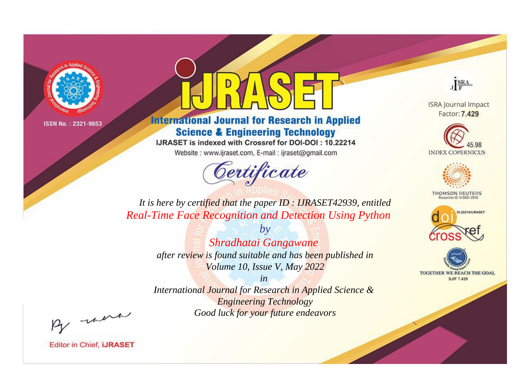

# **International Journal for Research in Applied Science & Engineering Technology**

IJRASET is indexed with Crossref for DOI-DOI: 10.22214

Website: www.ijraset.com, E-mail: ijraset@gmail.com



JERA

**ISRA Journal Impact** Factor: 7.429





**THOMSON REUTERS** 



TOGETHER WE REACH THE GOAL **SJIF 7.429** 

*It is here by certified that the paper ID : IJRASET42939, entitled Real-Time Face Recognition and Detection Using Python*

> *by Shradhatai Gangawane after review is found suitable and has been published in Volume 10, Issue V, May 2022*

> > *in*

*International Journal for Research in Applied Science & Engineering Technology Good luck for your future endeavors*

By morn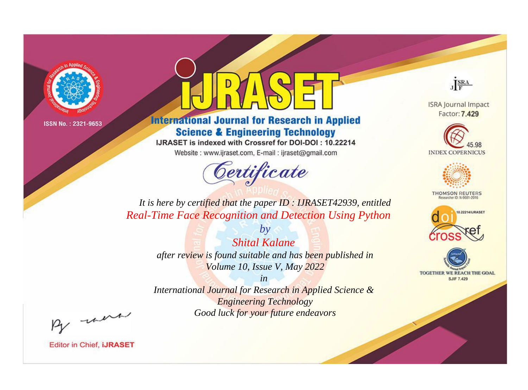

# **International Journal for Research in Applied Science & Engineering Technology**

IJRASET is indexed with Crossref for DOI-DOI: 10.22214

Website: www.ijraset.com, E-mail: ijraset@gmail.com



JERA

**ISRA Journal Impact** Factor: 7.429





**THOMSON REUTERS** 



TOGETHER WE REACH THE GOAL **SJIF 7.429** 

*It is here by certified that the paper ID : IJRASET42939, entitled Real-Time Face Recognition and Detection Using Python*

> *by Shital Kalane after review is found suitable and has been published in Volume 10, Issue V, May 2022*

> > *in*

*International Journal for Research in Applied Science & Engineering Technology Good luck for your future endeavors*

By morn